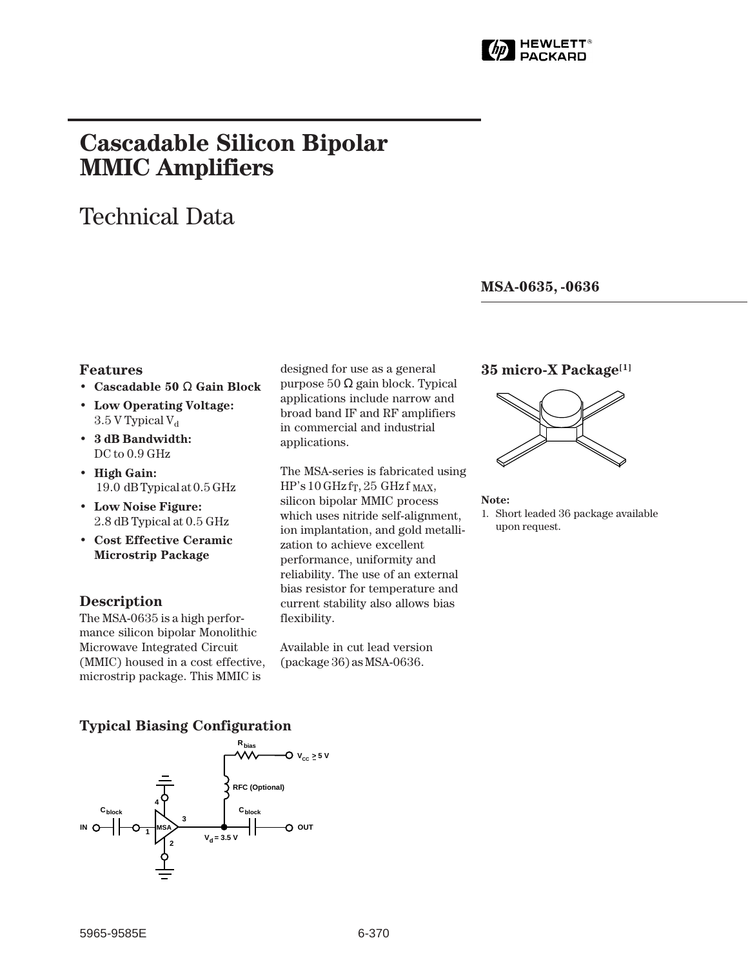

# **Cascadable Silicon Bipolar MMIC␣ Amplifiers**

# Technical Data

**MSA-0635, -0636**

### **Features**

- **Cascadable 50** Ω **Gain Block**
- **Low Operating Voltage:**  $3.5$  V Typical V<sub>d</sub>
- **3 dB Bandwidth:** DC to 0.9 GHz
- **High Gain:** 19.0␣ dB Typical at 0.5 GHz
- **Low Noise Figure:** 2.8 dB Typical at 0.5 GHz
- **Cost Effective Ceramic Microstrip Package**

## **Description**

The MSA-0635 is a high performance silicon bipolar Monolithic Microwave Integrated Circuit (MMIC) housed in a cost effective, microstrip package. This MMIC is

designed for use as a general purpose 50 Ω gain block. Typical applications include narrow and broad band IF and RF amplifiers in commercial and industrial applications.

The MSA-series is fabricated using  $HP's 10 GHz$  fr, 25 GHz f MAX, silicon bipolar MMIC process which uses nitride self-alignment, ion implantation, and gold metallization to achieve excellent performance, uniformity and reliability. The use of an external bias resistor for temperature and current stability also allows bias flexibility.

Available in cut lead version (package 36) as MSA-0636.

### **35 micro-X Package[1]**



#### **Note:**

1. Short leaded 36 package available upon request.

## **Typical Biasing Configuration**

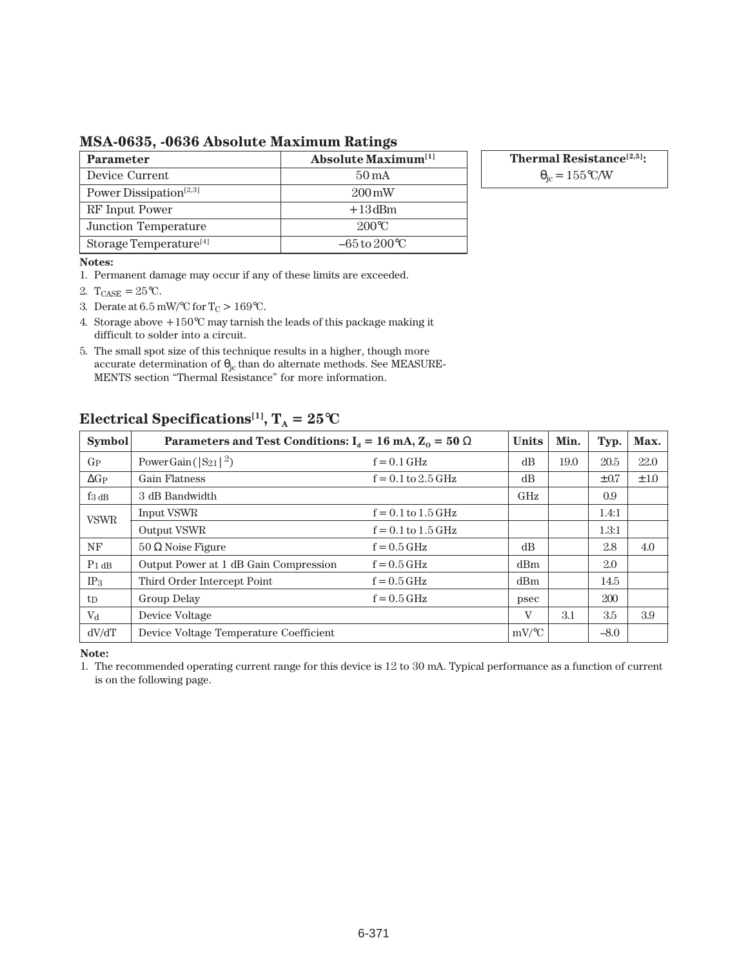**MSA-0635, -0636 Absolute Maximum Ratings**

| <b>Parameter</b>                   | <b>Absolute Maximum</b> <sup>[1]</sup> |
|------------------------------------|----------------------------------------|
| Device Current                     | $50 \,\mathrm{mA}$                     |
| Power Dissipation <sup>[2,3]</sup> | $200 \,\mathrm{mW}$                    |
| RF Input Power                     | $+13$ dBm                              |
| Junction Temperature               | $200^{\circ}$ C                        |
| Storage Temperature <sup>[4]</sup> | $-65$ to $200^{\circ}$ C               |

**Thermal Resistance[2,5]:**

 $\theta_{\rm ic} = 155$ °C/W

#### **Notes:**

- 1. Permanent damage may occur if any of these limits are exceeded.
- 2.  $T_{CASE} = 25^{\circ}C$ .
- 3. Derate at  $6.5 \text{ mW}$ /°C for T<sub>C</sub> > 169°C.
- 4. Storage above  $+150^{\circ}$ C may tarnish the leads of this package making it difficult to solder into a circuit.
- 5. The small spot size of this technique results in a higher, though more accurate determination of  $\theta_{jc}$  than do alternate methods. See MEASURE-MENTS section "Thermal Resistance" for more information.

## GP Power Gain  $(|S_{21}|^2)$  f = 0.1 GHz dB 19.0 20.5 22.0  $\Delta G_P$  Gain Flatness f = 0.1 to 2.5 GHz dB  $\pm 0.7$   $\pm 1.0$  $f_{3 \text{ dB}}$  3 dB Bandwidth GHz 0.9 Input VSWR  $f = 0.1$  to  $1.5$  GHz  $1.4:1$ Output VSWR  $f = 0.1$  to  $1.5$  GHz 1.3:1  $N$ F  $\vert$  50  $\Omega$  Noise Figure f = 0.5 GHz dB  $\vert$  dB  $\vert$  2.8 4.0  $P_{1 dB}$  Output Power at 1 dB Gain Compression  $f = 0.5$  GHz dBm  $\Big|$  dBm  $\Big|$  2.0  $IP_3$  Third Order Intercept Point f = 0.5 GHz dBm 14.5 t<sub>D</sub> Group Delay f = 0.5 GHz psec 200  $V<sub>d</sub>$  Device Voltage  $V<sub>d</sub>$  Device Voltage  $\vert V \vert$  3.1 3.5 3.9  $dV/dT$  Device Voltage Temperature Coefficient mV/°C – 8.0 **Symbol** Parameters and Test Conditions:  $I_d = 16$  mA,  $Z_0 = 50 \Omega$  Units Min. Typ. Max. VSWR

## **Electrical Specifications<sup>[1]</sup>,**  $T_A = 25^\circ \text{C}$

**Note:**

1. The recommended operating current range for this device is 12 to 30 mA. Typical performance as a function of current is on the following page.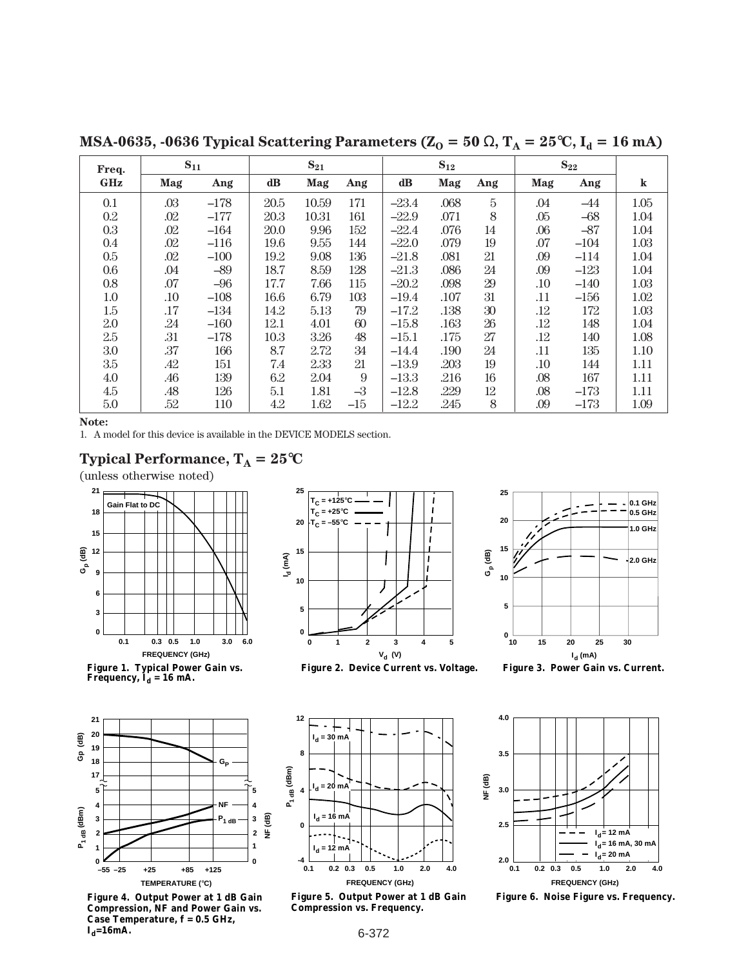**MSA-0635, -0636 Typical Scattering Parameters (** $Z_0 = 50 \Omega$ **,**  $T_A = 25^{\circ}C$ **,**  $I_d = 16 \text{ mA}$ **)** 

| Freq.      | $S_{11}$ |        | $S_{21}$      |       | $S_{12}$ |         |      | $S_{22}$ |         |        |         |
|------------|----------|--------|---------------|-------|----------|---------|------|----------|---------|--------|---------|
| <b>GHz</b> | Mag      | Ang    | $\mathbf{dB}$ | Mag   | Ang      | dB      | Mag  | Ang      | Mag     | Ang    | $\bf k$ |
| 0.1        | .03      | $-178$ | 20.5          | 10.59 | 171      | $-23.4$ | .068 | 5        | .04     | $-44$  | 1.05    |
| $0.2\,$    | .02      | $-177$ | 20.3          | 10.31 | 161      | $-22.9$ | .071 | 8        | .05     | $-68$  | 1.04    |
| 0.3        | .02      | $-164$ | 20.0          | 9.96  | 152      | $-22.4$ | .076 | 14       | .06     | $-87$  | 1.04    |
| 0.4        | .02      | $-116$ | 19.6          | 9.55  | 144      | $-22.0$ | .079 | 19       | .07     | $-104$ | 1.03    |
| 0.5        | .02      | $-100$ | 19.2          | 9.08  | 136      | $-21.8$ | .081 | 21       | .09     | $-114$ | 1.04    |
| $0.6\,$    | .04      | $-89$  | 18.7          | 8.59  | 128      | $-21.3$ | .086 | 24       | .09     | $-123$ | 1.04    |
| 0.8        | .07      | $-96$  | 17.7          | 7.66  | 115      | $-20.2$ | .098 | 29       | $.10\,$ | $-140$ | 1.03    |
| 1.0        | .10      | $-108$ | 16.6          | 6.79  | 103      | $-19.4$ | .107 | 31       | .11     | $-156$ | 1.02    |
| 1.5        | .17      | $-134$ | 14.2          | 5.13  | 79       | $-17.2$ | .138 | 30       | .12     | 172    | 1.03    |
| 2.0        | .24      | $-160$ | 12.1          | 4.01  | 60       | $-15.8$ | .163 | 26       | .12     | 148    | 1.04    |
| 2.5        | .31      | $-178$ | 10.3          | 3.26  | 48       | $-15.1$ | .175 | 27       | .12     | 140    | 1.08    |
| 3.0        | .37      | 166    | 8.7           | 2.72  | 34       | $-14.4$ | .190 | 24       | .11     | 135    | 1.10    |
| 3.5        | .42      | 151    | 7.4           | 2.33  | 21       | $-13.9$ | .203 | 19       | $.10\,$ | 144    | 1.11    |
| 4.0        | .46      | 139    | 6.2           | 2.04  | 9        | $-13.3$ | .216 | 16       | .08     | 167    | 1.11    |
| 4.5        | .48      | 126    | $5.1\,$       | 1.81  | $-3$     | $-12.8$ | .229 | 12       | .08     | $-173$ | 1.11    |
| 5.0        | .52      | 110    | 4.2           | 1.62  | $-15$    | $-12.2$ | .245 | 8        | .09     | $-173$ | 1.09    |

**Note:**

1. A model for this device is available in the DEVICE MODELS section.



(unless otherwise noted)



**Figure 1. Typical Power Gain vs.**  Frequency,  $\mathbf{I}_{\mathbf{d}} = 16 \text{ mA}.$ 



**Figure 4. Output Power at 1 dB Gain Compression, NF and Power Gain vs. Case Temperature, f = 0.5 GHz,**   $I_d = 16$ mA.









**10 15 20 25 Gp (dB) 10 20 25 30 15 0.1 GHz 0.5 GHz 1.0 GHz 2.0 GHz**

**Compression vs. Frequency.**

**-4**

**0**

**4**

**I d = 20 mA**

**I d = 16 mA**

**I d = 12 mA**

**I d = 30 mA**

**P1 dB (dBm)**

 $P_1$ <sub>dB</sub> (dBm)

**8**

**12**

**0.1 0.2 0.3 0.5 2.0 1.0 4.0 FREQUENCY (GHz)**